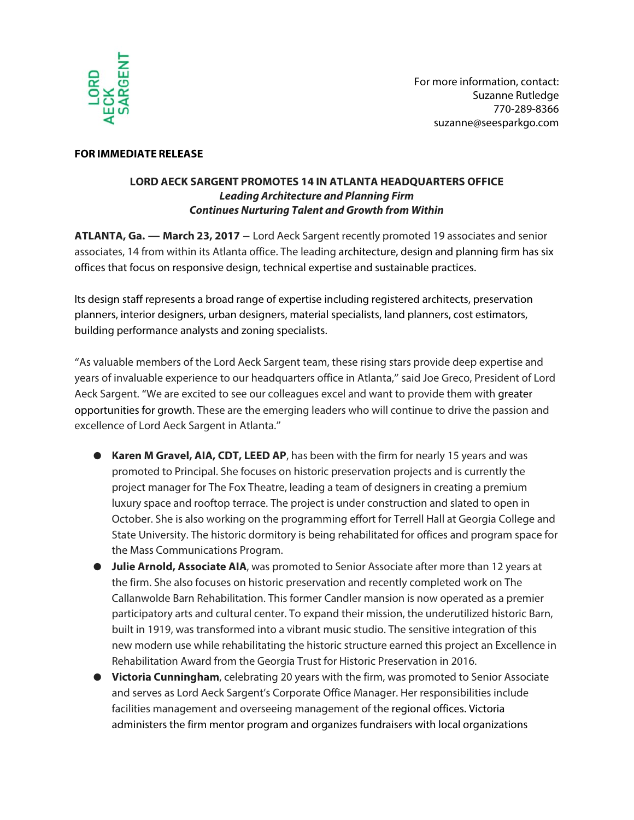

## **FOR IMMEDIATE RELEASE**

## **LORD AECK SARGENT PROMOTES 14 IN ATLANTA HEADQUARTERS OFFICE Leading Architecture and Planning Firm Continues Nurturing Talent and Growth from Within**

**ATLANTA, Ga. — March 23, 2017** – Lord Aeck Sargent recently promoted 19 associates and senior associates, 14 from within its Atlanta office. The leading architecture, design and planning firm has six offices that focus on responsive design, technical expertise and sustainable practices.

Its design staff represents a broad range of expertise including registered architects, preservation planners, interior designers, urban designers, material specialists, land planners, cost estimators, building performance analysts and zoning specialists.

"As valuable members of the Lord Aeck Sargent team, these rising stars provide deep expertise and years of invaluable experience to our headquarters office in Atlanta," said Joe Greco, President of Lord Aeck Sargent. "We are excited to see our colleagues excel and want to provide them with greater opportunities for growth. These are the emerging leaders who will continue to drive the passion and excellence of Lord Aeck Sargent in Atlanta."

- **Karen M Gravel, AIA, CDT, LEED AP**, has been with the firm for nearly 15 years and was promoted to Principal. She focuses on historic preservation projects and is currently the project manager for The Fox Theatre, leading a team of designers in creating a premium luxury space and rooftop terrace. The project is under construction and slated to open in October. She is also working on the programming effort for Terrell Hall at Georgia College and State University. The historic dormitory is being rehabilitated for offices and program space for the Mass Communications Program.
- **Julie Arnold, Associate AIA**, was promoted to Senior Associate after more than 12 years at the firm. She also focuses on historic preservation and recently completed work on The Callanwolde Barn Rehabilitation. This former Candler mansion is now operated as a premier participatory arts and cultural center. To expand their mission, the underutilized historic Barn, built in 1919, was transformed into a vibrant music studio. The sensitive integration of this new modern use while rehabilitating the historic structure earned this project an Excellence in Rehabilitation Award from the Georgia Trust for Historic Preservation in 2016.
- **Victoria Cunningham**, celebrating 20 years with the firm, was promoted to Senior Associate and serves as Lord Aeck Sargent's Corporate Office Manager. Her responsibilities include facilities management and overseeing management of the regional offices. Victoria administers the firm mentor program and organizes fundraisers with local organizations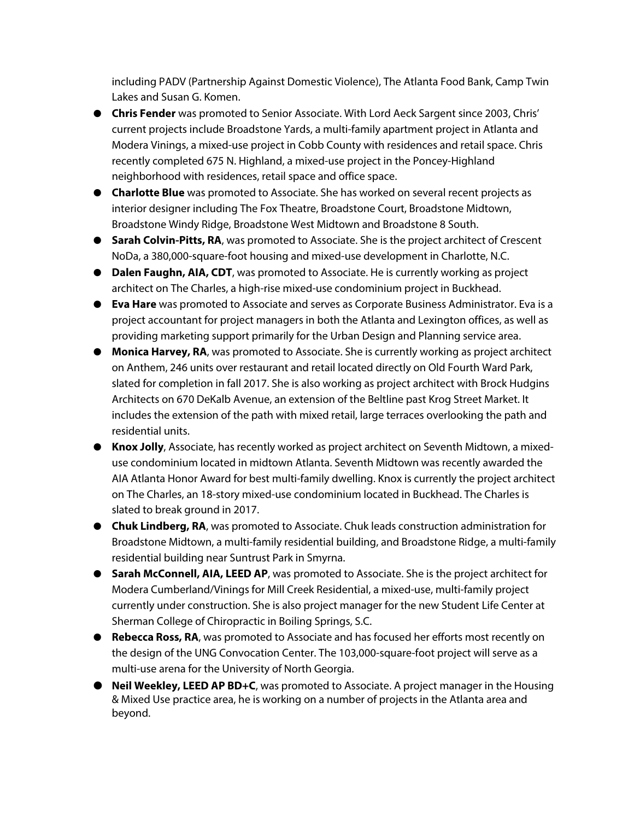including PADV (Partnership Against Domestic Violence), The Atlanta Food Bank, Camp Twin Lakes and Susan G. Komen.

- **Chris Fender** was promoted to Senior Associate. With Lord Aeck Sargent since 2003, Chris' current projects include Broadstone Yards, a multi-family apartment project in Atlanta and Modera Vinings, a mixed-use project in Cobb County with residences and retail space. Chris recently completed 675 N. Highland, a mixed-use project in the Poncey-Highland neighborhood with residences, retail space and office space.
- **Charlotte Blue** was promoted to Associate. She has worked on several recent projects as interior designer including The Fox Theatre, Broadstone Court, Broadstone Midtown, Broadstone Windy Ridge, Broadstone West Midtown and Broadstone 8 South.
- **Sarah Colvin-Pitts, RA**, was promoted to Associate. She is the project architect of Crescent NoDa, a 380,000-square-foot housing and mixed-use development in Charlotte, N.C.
- **Dalen Faughn, AIA, CDT**, was promoted to Associate. He is currently working as project architect on The Charles, a high-rise mixed-use condominium project in Buckhead.
- **Eva Hare** was promoted to Associate and serves as Corporate Business Administrator. Eva is a project accountant for project managers in both the Atlanta and Lexington offices, as well as providing marketing support primarily for the Urban Design and Planning service area.
- **Monica Harvey, RA**, was promoted to Associate. She is currently working as project architect on Anthem, 246 units over restaurant and retail located directly on Old Fourth Ward Park, slated for completion in fall 2017. She is also working as project architect with Brock Hudgins Architects on 670 DeKalb Avenue, an extension of the Beltline past Krog Street Market. It includes the extension of the path with mixed retail, large terraces overlooking the path and residential units.
- **Knox Jolly**, Associate, has recently worked as project architect on Seventh Midtown, a mixeduse condominium located in midtown Atlanta. Seventh Midtown was recently awarded the AIA Atlanta Honor Award for best multi-family dwelling. Knox is currently the project architect on The Charles, an 18-story mixed-use condominium located in Buckhead. The Charles is slated to break ground in 2017.
- **Chuk Lindberg, RA**, was promoted to Associate. Chuk leads construction administration for Broadstone Midtown, a multi-family residential building, and Broadstone Ridge, a multi-family residential building near Suntrust Park in Smyrna.
- **Sarah McConnell, AIA, LEED AP**, was promoted to Associate. She is the project architect for Modera Cumberland/Vinings for Mill Creek Residential, a mixed-use, multi-family project currently under construction. She is also project manager for the new Student Life Center at Sherman College of Chiropractic in Boiling Springs, S.C.
- **Rebecca Ross, RA**, was promoted to Associate and has focused her efforts most recently on the design of the UNG Convocation Center. The 103,000-square-foot project will serve as a multi-use arena for the University of North Georgia.
- **Neil Weekley, LEED AP BD+C**, was promoted to Associate. A project manager in the Housing & Mixed Use practice area, he is working on a number of projects in the Atlanta area and beyond.